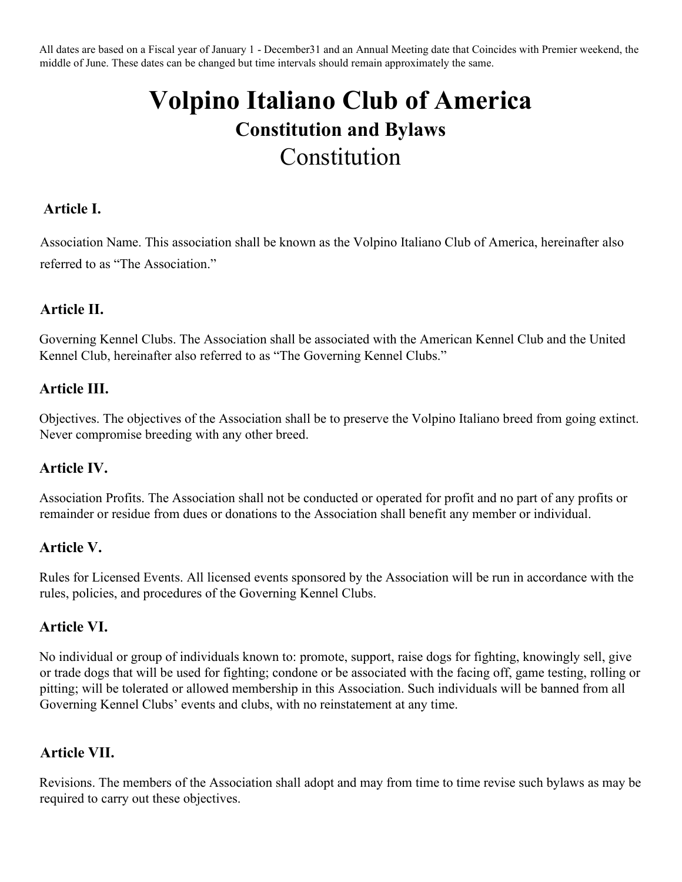All dates are based on a Fiscal year of January 1 - December31 and an Annual Meeting date that Coincides with Premier weekend, the middle of June. These dates can be changed but time intervals should remain approximately the same.

# **Volpino Italiano Club of America Constitution and Bylaws**  Constitution

## **Article I.**

Association Name. This association shall be known as the Volpino Italiano Club of America, hereinafter also referred to as "The Association."

# **Article II.**

Governing Kennel Clubs. The Association shall be associated with the American Kennel Club and the United Kennel Club, hereinafter also referred to as "The Governing Kennel Clubs."

#### **Article III.**

Objectives. The objectives of the Association shall be to preserve the Volpino Italiano breed from going extinct. Never compromise breeding with any other breed.

#### **Article IV.**

Association Profits. The Association shall not be conducted or operated for profit and no part of any profits or remainder or residue from dues or donations to the Association shall benefit any member or individual.

#### **Article V.**

Rules for Licensed Events. All licensed events sponsored by the Association will be run in accordance with the rules, policies, and procedures of the Governing Kennel Clubs.

#### **Article VI.**

No individual or group of individuals known to: promote, support, raise dogs for fighting, knowingly sell, give or trade dogs that will be used for fighting; condone or be associated with the facing off, game testing, rolling or pitting; will be tolerated or allowed membership in this Association. Such individuals will be banned from all Governing Kennel Clubs' events and clubs, with no reinstatement at any time.

#### **Article VII.**

Revisions. The members of the Association shall adopt and may from time to time revise such bylaws as may be required to carry out these objectives.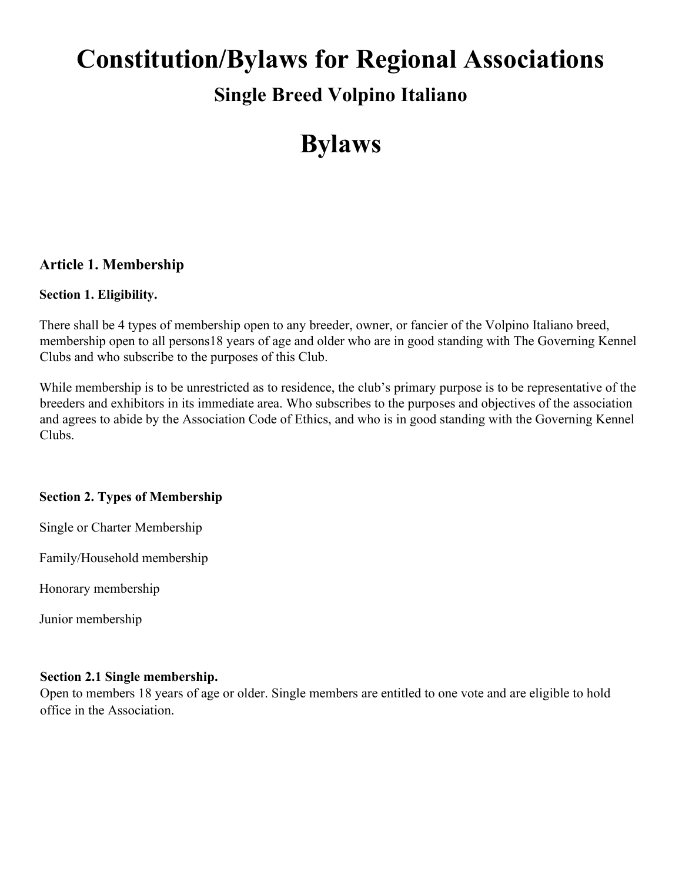# **Constitution/Bylaws for Regional Associations Single Breed Volpino Italiano**

# **Bylaws**

# **Article 1. Membership**

#### **Section 1. Eligibility.**

There shall be 4 types of membership open to any breeder, owner, or fancier of the Volpino Italiano breed, membership open to all persons18 years of age and older who are in good standing with The Governing Kennel Clubs and who subscribe to the purposes of this Club.

While membership is to be unrestricted as to residence, the club's primary purpose is to be representative of the breeders and exhibitors in its immediate area. Who subscribes to the purposes and objectives of the association and agrees to abide by the Association Code of Ethics, and who is in good standing with the Governing Kennel Clubs.

# **Section 2. Types of Membership**

Single or Charter Membership

Family/Household membership

Honorary membership

Junior membership

#### **Section 2.1 Single membership.**

Open to members 18 years of age or older. Single members are entitled to one vote and are eligible to hold office in the Association.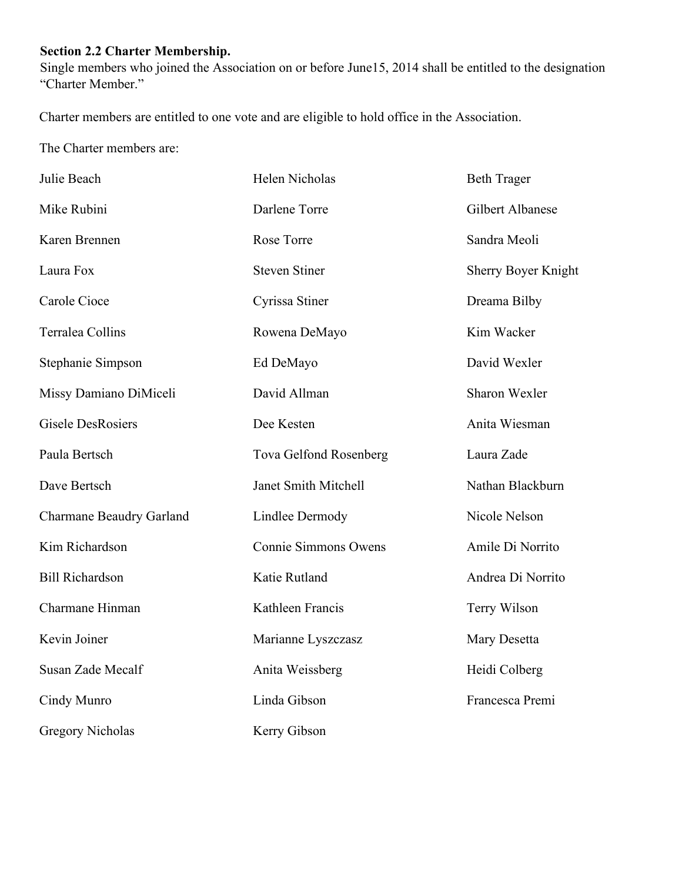# **Section 2.2 Charter Membership.**

Single members who joined the Association on or before June15, 2014 shall be entitled to the designation "Charter Member."

Charter members are entitled to one vote and are eligible to hold office in the Association.

The Charter members are:

| Julie Beach              | Helen Nicholas         | <b>Beth Trager</b>  |
|--------------------------|------------------------|---------------------|
| Mike Rubini              | Darlene Torre          | Gilbert Albanese    |
| Karen Brennen            | Rose Torre             | Sandra Meoli        |
| Laura Fox                | <b>Steven Stiner</b>   | Sherry Boyer Knight |
| Carole Cioce             | Cyrissa Stiner         | Dreama Bilby        |
| Terralea Collins         | Rowena DeMayo          | Kim Wacker          |
| Stephanie Simpson        | Ed DeMayo              | David Wexler        |
| Missy Damiano DiMiceli   | David Allman           | Sharon Wexler       |
| <b>Gisele DesRosiers</b> | Dee Kesten             | Anita Wiesman       |
| Paula Bertsch            | Tova Gelfond Rosenberg | Laura Zade          |
| Dave Bertsch             | Janet Smith Mitchell   | Nathan Blackburn    |
| Charmane Beaudry Garland | <b>Lindlee Dermody</b> | Nicole Nelson       |
| Kim Richardson           | Connie Simmons Owens   | Amile Di Norrito    |
| <b>Bill Richardson</b>   | Katie Rutland          | Andrea Di Norrito   |
| Charmane Hinman          | Kathleen Francis       | Terry Wilson        |
| Kevin Joiner             | Marianne Lyszczasz     | Mary Desetta        |
| Susan Zade Mecalf        | Anita Weissberg        | Heidi Colberg       |
| Cindy Munro              | Linda Gibson           | Francesca Premi     |
| <b>Gregory Nicholas</b>  | Kerry Gibson           |                     |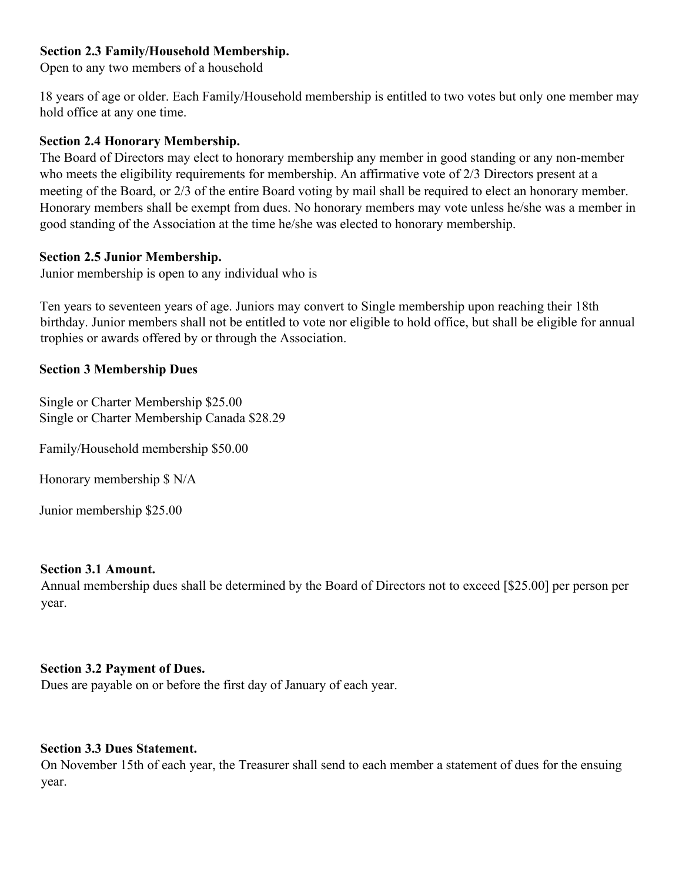#### **Section 2.3 Family/Household Membership.**

Open to any two members of a household

18 years of age or older. Each Family/Household membership is entitled to two votes but only one member may hold office at any one time.

#### **Section 2.4 Honorary Membership.**

The Board of Directors may elect to honorary membership any member in good standing or any non-member who meets the eligibility requirements for membership. An affirmative vote of 2/3 Directors present at a meeting of the Board, or 2/3 of the entire Board voting by mail shall be required to elect an honorary member. Honorary members shall be exempt from dues. No honorary members may vote unless he/she was a member in good standing of the Association at the time he/she was elected to honorary membership.

#### **Section 2.5 Junior Membership.**

Junior membership is open to any individual who is

Ten years to seventeen years of age. Juniors may convert to Single membership upon reaching their 18th birthday. Junior members shall not be entitled to vote nor eligible to hold office, but shall be eligible for annual trophies or awards offered by or through the Association.

#### **Section 3 Membership Dues**

Single or Charter Membership \$25.00 Single or Charter Membership Canada \$28.29

Family/Household membership \$50.00

Honorary membership \$ N/A

Junior membership \$25.00

#### **Section 3.1 Amount.**

Annual membership dues shall be determined by the Board of Directors not to exceed [\$25.00] per person per year.

#### **Section 3.2 Payment of Dues.**

Dues are payable on or before the first day of January of each year.

#### **Section 3.3 Dues Statement.**

On November 15th of each year, the Treasurer shall send to each member a statement of dues for the ensuing year.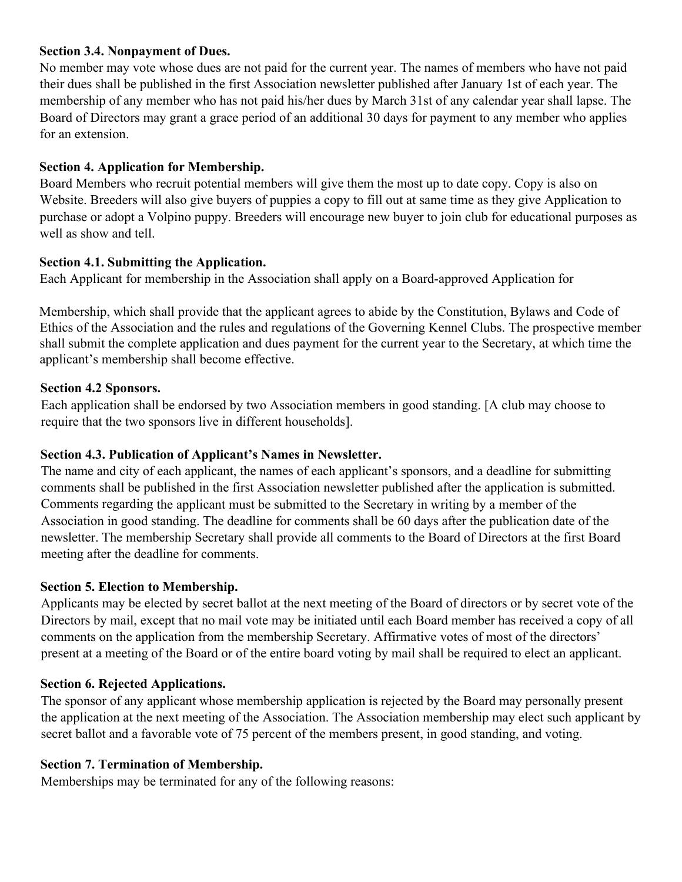#### **Section 3.4. Nonpayment of Dues.**

No member may vote whose dues are not paid for the current year. The names of members who have not paid their dues shall be published in the first Association newsletter published after January 1st of each year. The membership of any member who has not paid his/her dues by March 31st of any calendar year shall lapse. The Board of Directors may grant a grace period of an additional 30 days for payment to any member who applies for an extension.

#### **Section 4. Application for Membership.**

Board Members who recruit potential members will give them the most up to date copy. Copy is also on Website. Breeders will also give buyers of puppies a copy to fill out at same time as they give Application to purchase or adopt a Volpino puppy. Breeders will encourage new buyer to join club for educational purposes as well as show and tell.

#### **Section 4.1. Submitting the Application.**

Each Applicant for membership in the Association shall apply on a Board-approved Application for

Membership, which shall provide that the applicant agrees to abide by the Constitution, Bylaws and Code of Ethics of the Association and the rules and regulations of the Governing Kennel Clubs. The prospective member shall submit the complete application and dues payment for the current year to the Secretary, at which time the applicant's membership shall become effective.

#### **Section 4.2 Sponsors.**

Each application shall be endorsed by two Association members in good standing. [A club may choose to require that the two sponsors live in different households].

#### **Section 4.3. Publication of Applicant's Names in Newsletter.**

The name and city of each applicant, the names of each applicant's sponsors, and a deadline for submitting comments shall be published in the first Association newsletter published after the application is submitted. Comments regarding the applicant must be submitted to the Secretary in writing by a member of the Association in good standing. The deadline for comments shall be 60 days after the publication date of the newsletter. The membership Secretary shall provide all comments to the Board of Directors at the first Board meeting after the deadline for comments.

#### **Section 5. Election to Membership.**

Applicants may be elected by secret ballot at the next meeting of the Board of directors or by secret vote of the Directors by mail, except that no mail vote may be initiated until each Board member has received a copy of all comments on the application from the membership Secretary. Affirmative votes of most of the directors' present at a meeting of the Board or of the entire board voting by mail shall be required to elect an applicant.

#### **Section 6. Rejected Applications.**

The sponsor of any applicant whose membership application is rejected by the Board may personally present the application at the next meeting of the Association. The Association membership may elect such applicant by secret ballot and a favorable vote of 75 percent of the members present, in good standing, and voting.

# **Section 7. Termination of Membership.**

Memberships may be terminated for any of the following reasons: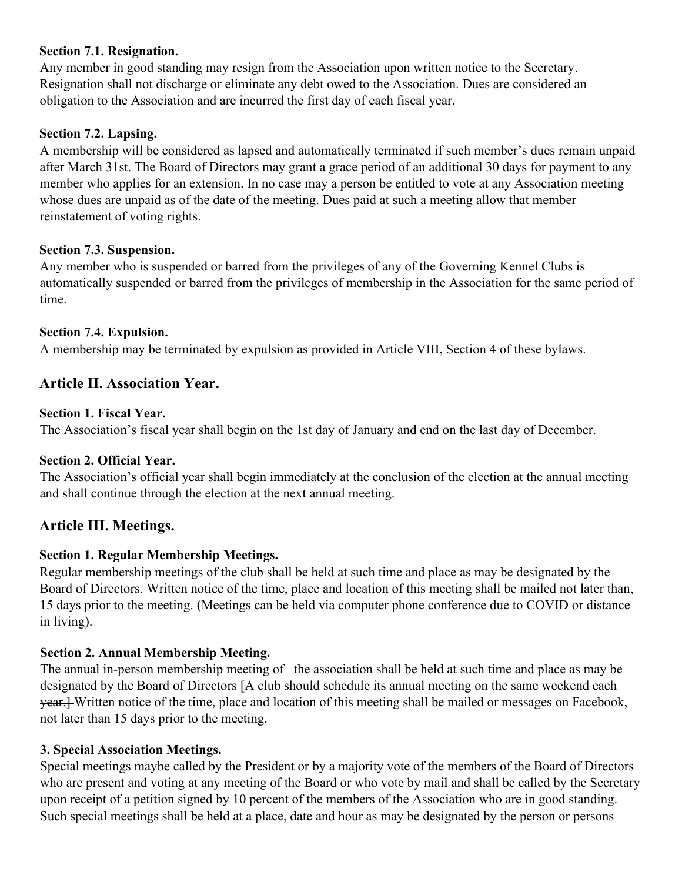#### **Section 7.1. Resignation.**

Any member in good standing may resign from the Association upon written notice to the Secretary. Resignation shall not discharge or eliminate any debt owed to the Association. Dues are considered an obligation to the Association and are incurred the first day of each fiscal year.

#### **Section 7.2. Lapsing.**

A membership will be considered as lapsed and automatically terminated if such member's dues remain unpaid after March 31st. The Board of Directors may grant a grace period of an additional 30 days for payment to any member who applies for an extension. In no case may a person be entitled to vote at any Association meeting whose dues are unpaid as of the date of the meeting. Dues paid at such a meeting allow that member reinstatement of voting rights.

#### **Section 7.3. Suspension.**

Any member who is suspended or barred from the privileges of any of the Governing Kennel Clubs is automatically suspended or barred from the privileges of membership in the Association for the same period of time.

#### **Section 7.4. Expulsion.**

A membership may be terminated by expulsion as provided in Article VIII, Section 4 of these bylaws.

## **Article II. Association Year.**

#### **Section 1. Fiscal Year.**

The Association's fiscal year shall begin on the 1st day of January and end on the last day of December.

#### **Section 2. Official Year.**

The Association's official year shall begin immediately at the conclusion of the election at the annual meeting and shall continue through the election at the next annual meeting.

#### **Article III. Meetings.**

#### **Section 1. Regular Membership Meetings.**

Regular membership meetings of the club shall be held at such time and place as may be designated by the Board of Directors. Written notice of the time, place and location of this meeting shall be mailed not later than, 15 days prior to the meeting. (Meetings can be held via computer phone conference due to COVID or distance in living).

#### **Section 2. Annual Membership Meeting.**

The annual in-person membership meeting of the association shall be held at such time and place as may be designated by the Board of Directors [A club should schedule its annual meeting on the same weekend each year.] Written notice of the time, place and location of this meeting shall be mailed or messages on Facebook, not later than 15 days prior to the meeting.

#### **3. Special Association Meetings.**

Special meetings maybe called by the President or by a majority vote of the members of the Board of Directors who are present and voting at any meeting of the Board or who vote by mail and shall be called by the Secretary upon receipt of a petition signed by 10 percent of the members of the Association who are in good standing. Such special meetings shall be held at a place, date and hour as may be designated by the person or persons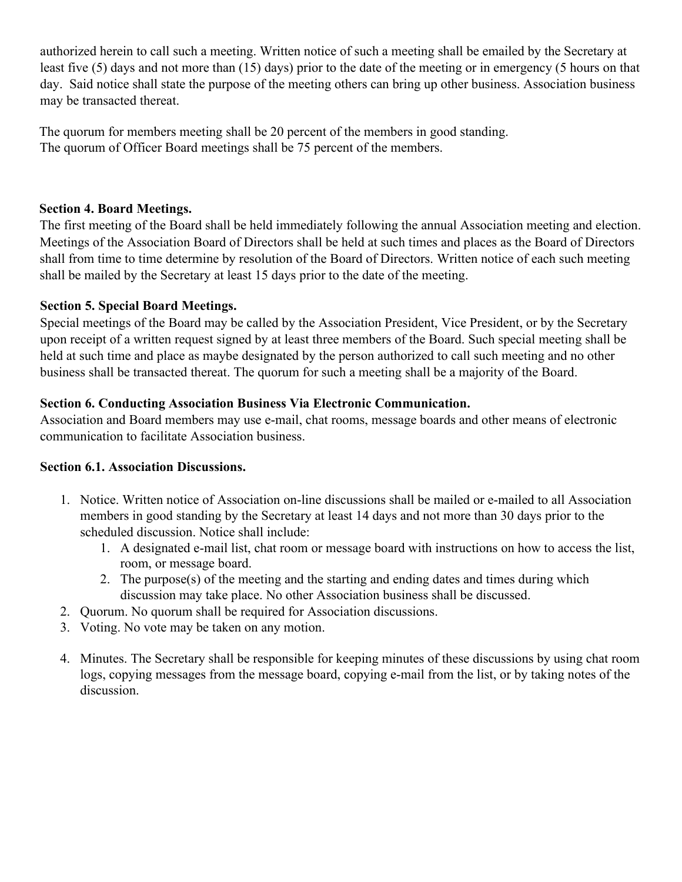authorized herein to call such a meeting. Written notice of such a meeting shall be emailed by the Secretary at least five (5) days and not more than (15) days) prior to the date of the meeting or in emergency (5 hours on that day. Said notice shall state the purpose of the meeting others can bring up other business. Association business may be transacted thereat.

The quorum for members meeting shall be 20 percent of the members in good standing. The quorum of Officer Board meetings shall be 75 percent of the members.

#### **Section 4. Board Meetings.**

The first meeting of the Board shall be held immediately following the annual Association meeting and election. Meetings of the Association Board of Directors shall be held at such times and places as the Board of Directors shall from time to time determine by resolution of the Board of Directors. Written notice of each such meeting shall be mailed by the Secretary at least 15 days prior to the date of the meeting.

## **Section 5. Special Board Meetings.**

Special meetings of the Board may be called by the Association President, Vice President, or by the Secretary upon receipt of a written request signed by at least three members of the Board. Such special meeting shall be held at such time and place as maybe designated by the person authorized to call such meeting and no other business shall be transacted thereat. The quorum for such a meeting shall be a majority of the Board.

## **Section 6. Conducting Association Business Via Electronic Communication.**

Association and Board members may use e-mail, chat rooms, message boards and other means of electronic communication to facilitate Association business.

#### **Section 6.1. Association Discussions.**

- 1. Notice. Written notice of Association on-line discussions shall be mailed or e-mailed to all Association members in good standing by the Secretary at least 14 days and not more than 30 days prior to the scheduled discussion. Notice shall include:
	- 1. A designated e-mail list, chat room or message board with instructions on how to access the list, room, or message board.
	- 2. The purpose(s) of the meeting and the starting and ending dates and times during which discussion may take place. No other Association business shall be discussed.
- 2. Quorum. No quorum shall be required for Association discussions.
- 3. Voting. No vote may be taken on any motion.
- 4. Minutes. The Secretary shall be responsible for keeping minutes of these discussions by using chat room logs, copying messages from the message board, copying e-mail from the list, or by taking notes of the discussion.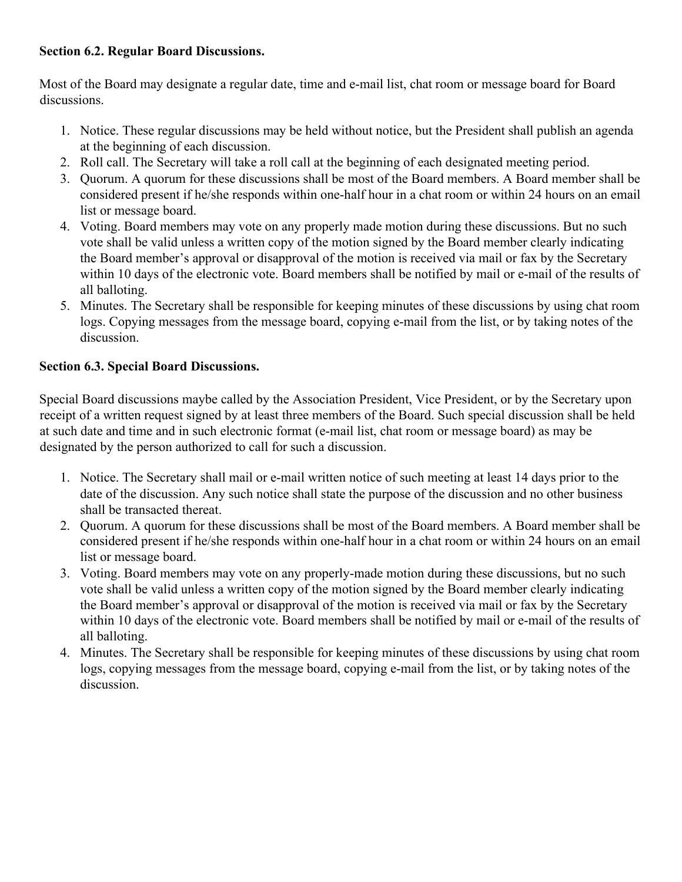#### **Section 6.2. Regular Board Discussions.**

Most of the Board may designate a regular date, time and e-mail list, chat room or message board for Board discussions.

- 1. Notice. These regular discussions may be held without notice, but the President shall publish an agenda at the beginning of each discussion.
- 2. Roll call. The Secretary will take a roll call at the beginning of each designated meeting period.
- 3. Quorum. A quorum for these discussions shall be most of the Board members. A Board member shall be considered present if he/she responds within one-half hour in a chat room or within 24 hours on an email list or message board.
- 4. Voting. Board members may vote on any properly made motion during these discussions. But no such vote shall be valid unless a written copy of the motion signed by the Board member clearly indicating the Board member's approval or disapproval of the motion is received via mail or fax by the Secretary within 10 days of the electronic vote. Board members shall be notified by mail or e-mail of the results of all balloting.
- 5. Minutes. The Secretary shall be responsible for keeping minutes of these discussions by using chat room logs. Copying messages from the message board, copying e-mail from the list, or by taking notes of the discussion.

## **Section 6.3. Special Board Discussions.**

Special Board discussions maybe called by the Association President, Vice President, or by the Secretary upon receipt of a written request signed by at least three members of the Board. Such special discussion shall be held at such date and time and in such electronic format (e-mail list, chat room or message board) as may be designated by the person authorized to call for such a discussion.

- 1. Notice. The Secretary shall mail or e-mail written notice of such meeting at least 14 days prior to the date of the discussion. Any such notice shall state the purpose of the discussion and no other business shall be transacted thereat.
- 2. Quorum. A quorum for these discussions shall be most of the Board members. A Board member shall be considered present if he/she responds within one-half hour in a chat room or within 24 hours on an email list or message board.
- 3. Voting. Board members may vote on any properly-made motion during these discussions, but no such vote shall be valid unless a written copy of the motion signed by the Board member clearly indicating the Board member's approval or disapproval of the motion is received via mail or fax by the Secretary within 10 days of the electronic vote. Board members shall be notified by mail or e-mail of the results of all balloting.
- 4. Minutes. The Secretary shall be responsible for keeping minutes of these discussions by using chat room logs, copying messages from the message board, copying e-mail from the list, or by taking notes of the discussion.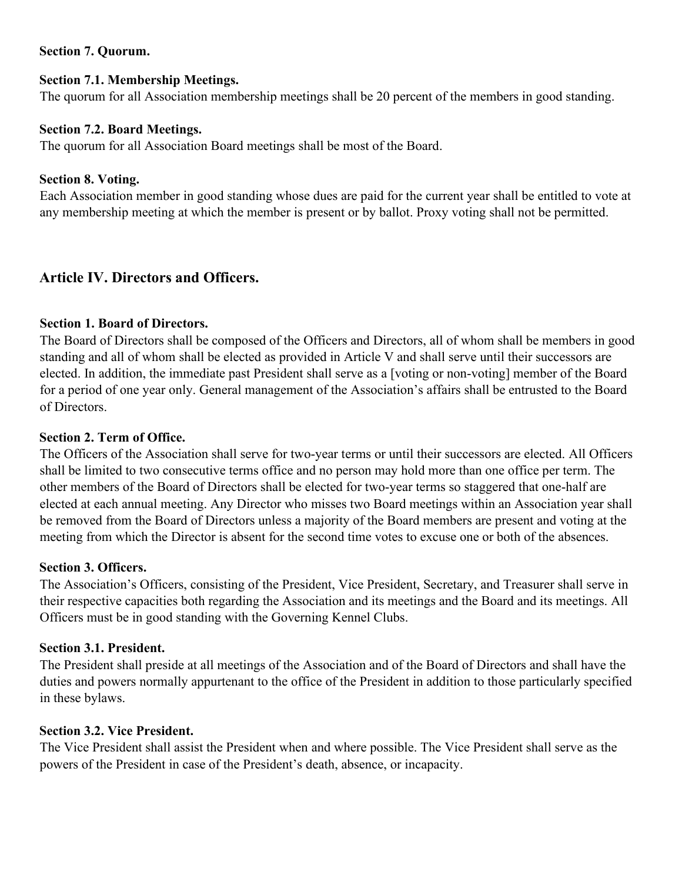#### **Section 7. Quorum.**

#### **Section 7.1. Membership Meetings.**

The quorum for all Association membership meetings shall be 20 percent of the members in good standing.

#### **Section 7.2. Board Meetings.**

The quorum for all Association Board meetings shall be most of the Board.

#### **Section 8. Voting.**

Each Association member in good standing whose dues are paid for the current year shall be entitled to vote at any membership meeting at which the member is present or by ballot. Proxy voting shall not be permitted.

# **Article IV. Directors and Officers.**

#### **Section 1. Board of Directors.**

The Board of Directors shall be composed of the Officers and Directors, all of whom shall be members in good standing and all of whom shall be elected as provided in Article V and shall serve until their successors are elected. In addition, the immediate past President shall serve as a [voting or non-voting] member of the Board for a period of one year only. General management of the Association's affairs shall be entrusted to the Board of Directors.

#### **Section 2. Term of Office.**

The Officers of the Association shall serve for two-year terms or until their successors are elected. All Officers shall be limited to two consecutive terms office and no person may hold more than one office per term. The other members of the Board of Directors shall be elected for two-year terms so staggered that one-half are elected at each annual meeting. Any Director who misses two Board meetings within an Association year shall be removed from the Board of Directors unless a majority of the Board members are present and voting at the meeting from which the Director is absent for the second time votes to excuse one or both of the absences.

#### **Section 3. Officers.**

The Association's Officers, consisting of the President, Vice President, Secretary, and Treasurer shall serve in their respective capacities both regarding the Association and its meetings and the Board and its meetings. All Officers must be in good standing with the Governing Kennel Clubs.

#### **Section 3.1. President.**

The President shall preside at all meetings of the Association and of the Board of Directors and shall have the duties and powers normally appurtenant to the office of the President in addition to those particularly specified in these bylaws.

#### **Section 3.2. Vice President.**

The Vice President shall assist the President when and where possible. The Vice President shall serve as the powers of the President in case of the President's death, absence, or incapacity.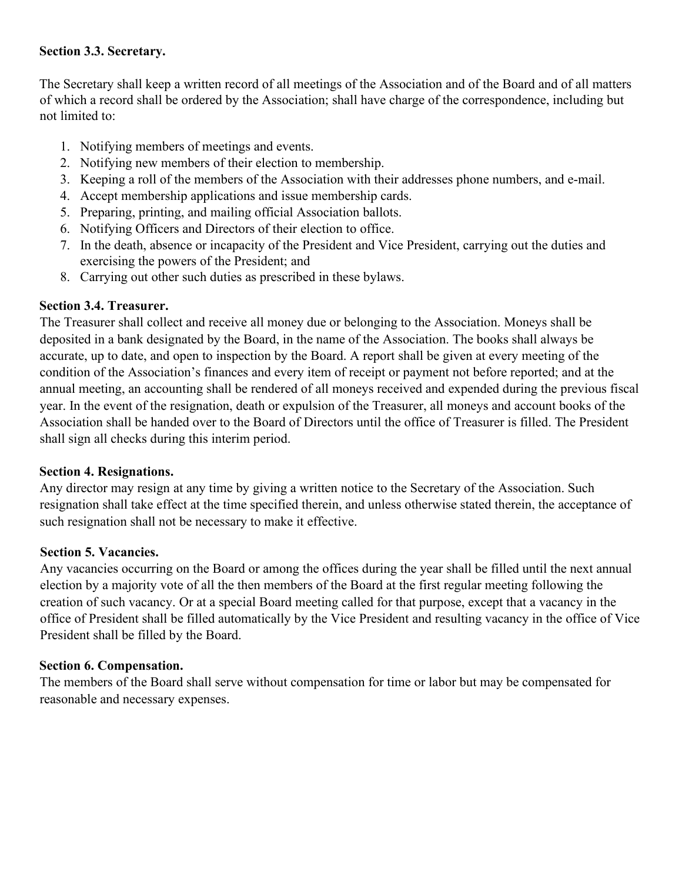#### **Section 3.3. Secretary.**

The Secretary shall keep a written record of all meetings of the Association and of the Board and of all matters of which a record shall be ordered by the Association; shall have charge of the correspondence, including but not limited to:

- 1. Notifying members of meetings and events.
- 2. Notifying new members of their election to membership.
- 3. Keeping a roll of the members of the Association with their addresses phone numbers, and e-mail.
- 4. Accept membership applications and issue membership cards.
- 5. Preparing, printing, and mailing official Association ballots.
- 6. Notifying Officers and Directors of their election to office.
- 7. In the death, absence or incapacity of the President and Vice President, carrying out the duties and exercising the powers of the President; and
- 8. Carrying out other such duties as prescribed in these bylaws.

#### **Section 3.4. Treasurer.**

The Treasurer shall collect and receive all money due or belonging to the Association. Moneys shall be deposited in a bank designated by the Board, in the name of the Association. The books shall always be accurate, up to date, and open to inspection by the Board. A report shall be given at every meeting of the condition of the Association's finances and every item of receipt or payment not before reported; and at the annual meeting, an accounting shall be rendered of all moneys received and expended during the previous fiscal year. In the event of the resignation, death or expulsion of the Treasurer, all moneys and account books of the Association shall be handed over to the Board of Directors until the office of Treasurer is filled. The President shall sign all checks during this interim period.

#### **Section 4. Resignations.**

Any director may resign at any time by giving a written notice to the Secretary of the Association. Such resignation shall take effect at the time specified therein, and unless otherwise stated therein, the acceptance of such resignation shall not be necessary to make it effective.

#### **Section 5. Vacancies.**

Any vacancies occurring on the Board or among the offices during the year shall be filled until the next annual election by a majority vote of all the then members of the Board at the first regular meeting following the creation of such vacancy. Or at a special Board meeting called for that purpose, except that a vacancy in the office of President shall be filled automatically by the Vice President and resulting vacancy in the office of Vice President shall be filled by the Board.

#### **Section 6. Compensation.**

The members of the Board shall serve without compensation for time or labor but may be compensated for reasonable and necessary expenses.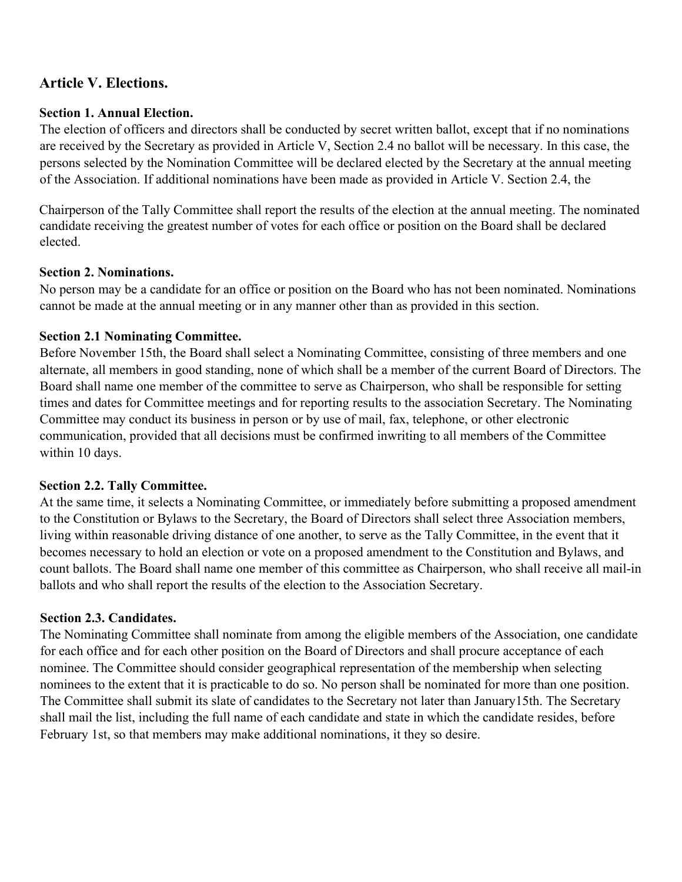# **Article V. Elections.**

# **Section 1. Annual Election.**

The election of officers and directors shall be conducted by secret written ballot, except that if no nominations are received by the Secretary as provided in Article V, Section 2.4 no ballot will be necessary. In this case, the persons selected by the Nomination Committee will be declared elected by the Secretary at the annual meeting of the Association. If additional nominations have been made as provided in Article V. Section 2.4, the

Chairperson of the Tally Committee shall report the results of the election at the annual meeting. The nominated candidate receiving the greatest number of votes for each office or position on the Board shall be declared elected.

# **Section 2. Nominations.**

No person may be a candidate for an office or position on the Board who has not been nominated. Nominations cannot be made at the annual meeting or in any manner other than as provided in this section.

# **Section 2.1 Nominating Committee.**

Before November 15th, the Board shall select a Nominating Committee, consisting of three members and one alternate, all members in good standing, none of which shall be a member of the current Board of Directors. The Board shall name one member of the committee to serve as Chairperson, who shall be responsible for setting times and dates for Committee meetings and for reporting results to the association Secretary. The Nominating Committee may conduct its business in person or by use of mail, fax, telephone, or other electronic communication, provided that all decisions must be confirmed inwriting to all members of the Committee within 10 days.

# **Section 2.2. Tally Committee.**

At the same time, it selects a Nominating Committee, or immediately before submitting a proposed amendment to the Constitution or Bylaws to the Secretary, the Board of Directors shall select three Association members, living within reasonable driving distance of one another, to serve as the Tally Committee, in the event that it becomes necessary to hold an election or vote on a proposed amendment to the Constitution and Bylaws, and count ballots. The Board shall name one member of this committee as Chairperson, who shall receive all mail-in ballots and who shall report the results of the election to the Association Secretary.

# **Section 2.3. Candidates.**

The Nominating Committee shall nominate from among the eligible members of the Association, one candidate for each office and for each other position on the Board of Directors and shall procure acceptance of each nominee. The Committee should consider geographical representation of the membership when selecting nominees to the extent that it is practicable to do so. No person shall be nominated for more than one position. The Committee shall submit its slate of candidates to the Secretary not later than January15th. The Secretary shall mail the list, including the full name of each candidate and state in which the candidate resides, before February 1st, so that members may make additional nominations, it they so desire.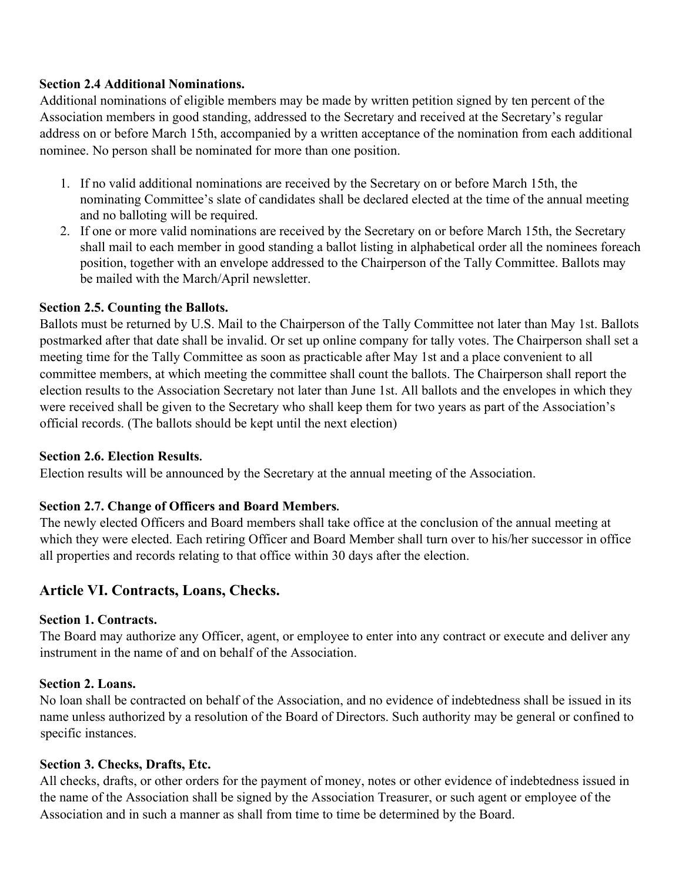#### **Section 2.4 Additional Nominations.**

Additional nominations of eligible members may be made by written petition signed by ten percent of the Association members in good standing, addressed to the Secretary and received at the Secretary's regular address on or before March 15th, accompanied by a written acceptance of the nomination from each additional nominee. No person shall be nominated for more than one position.

- 1. If no valid additional nominations are received by the Secretary on or before March 15th, the nominating Committee's slate of candidates shall be declared elected at the time of the annual meeting and no balloting will be required.
- 2. If one or more valid nominations are received by the Secretary on or before March 15th, the Secretary shall mail to each member in good standing a ballot listing in alphabetical order all the nominees foreach position, together with an envelope addressed to the Chairperson of the Tally Committee. Ballots may be mailed with the March/April newsletter.

## **Section 2.5. Counting the Ballots.**

Ballots must be returned by U.S. Mail to the Chairperson of the Tally Committee not later than May 1st. Ballots postmarked after that date shall be invalid. Or set up online company for tally votes. The Chairperson shall set a meeting time for the Tally Committee as soon as practicable after May 1st and a place convenient to all committee members, at which meeting the committee shall count the ballots. The Chairperson shall report the election results to the Association Secretary not later than June 1st. All ballots and the envelopes in which they were received shall be given to the Secretary who shall keep them for two years as part of the Association's official records. (The ballots should be kept until the next election)

#### **Section 2.6. Election Results.**

Election results will be announced by the Secretary at the annual meeting of the Association.

# **Section 2.7. Change of Officers and Board Members.**

The newly elected Officers and Board members shall take office at the conclusion of the annual meeting at which they were elected. Each retiring Officer and Board Member shall turn over to his/her successor in office all properties and records relating to that office within 30 days after the election.

# **Article VI. Contracts, Loans, Checks.**

#### **Section 1. Contracts.**

The Board may authorize any Officer, agent, or employee to enter into any contract or execute and deliver any instrument in the name of and on behalf of the Association.

#### **Section 2. Loans.**

No loan shall be contracted on behalf of the Association, and no evidence of indebtedness shall be issued in its name unless authorized by a resolution of the Board of Directors. Such authority may be general or confined to specific instances.

#### **Section 3. Checks, Drafts, Etc.**

All checks, drafts, or other orders for the payment of money, notes or other evidence of indebtedness issued in the name of the Association shall be signed by the Association Treasurer, or such agent or employee of the Association and in such a manner as shall from time to time be determined by the Board.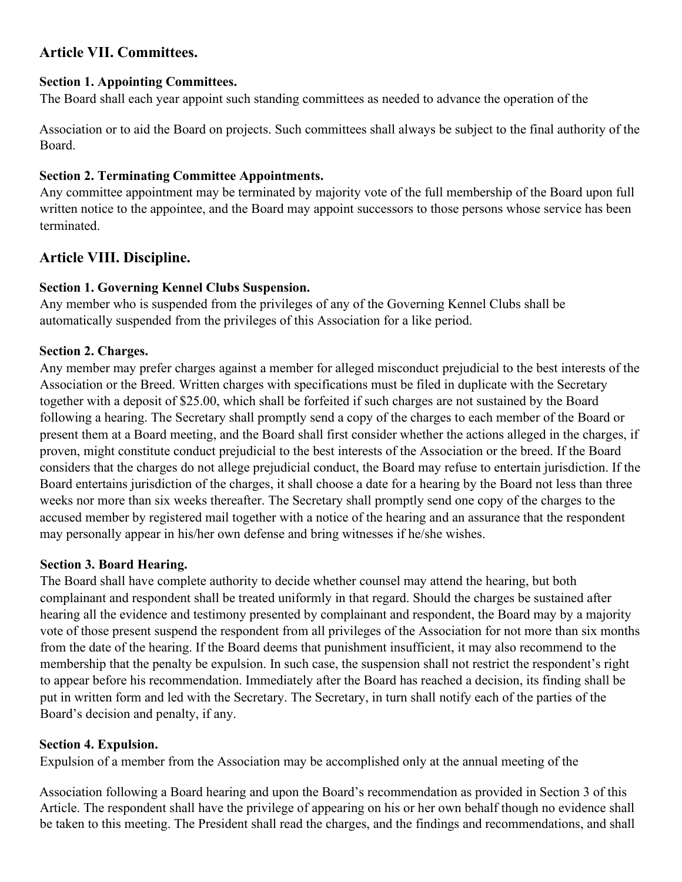# **Article VII. Committees.**

#### **Section 1. Appointing Committees.**

The Board shall each year appoint such standing committees as needed to advance the operation of the

Association or to aid the Board on projects. Such committees shall always be subject to the final authority of the Board.

## **Section 2. Terminating Committee Appointments.**

Any committee appointment may be terminated by majority vote of the full membership of the Board upon full written notice to the appointee, and the Board may appoint successors to those persons whose service has been terminated.

# **Article VIII. Discipline.**

## **Section 1. Governing Kennel Clubs Suspension.**

Any member who is suspended from the privileges of any of the Governing Kennel Clubs shall be automatically suspended from the privileges of this Association for a like period.

# **Section 2. Charges.**

Any member may prefer charges against a member for alleged misconduct prejudicial to the best interests of the Association or the Breed. Written charges with specifications must be filed in duplicate with the Secretary together with a deposit of \$25.00, which shall be forfeited if such charges are not sustained by the Board following a hearing. The Secretary shall promptly send a copy of the charges to each member of the Board or present them at a Board meeting, and the Board shall first consider whether the actions alleged in the charges, if proven, might constitute conduct prejudicial to the best interests of the Association or the breed. If the Board considers that the charges do not allege prejudicial conduct, the Board may refuse to entertain jurisdiction. If the Board entertains jurisdiction of the charges, it shall choose a date for a hearing by the Board not less than three weeks nor more than six weeks thereafter. The Secretary shall promptly send one copy of the charges to the accused member by registered mail together with a notice of the hearing and an assurance that the respondent may personally appear in his/her own defense and bring witnesses if he/she wishes.

#### **Section 3. Board Hearing.**

The Board shall have complete authority to decide whether counsel may attend the hearing, but both complainant and respondent shall be treated uniformly in that regard. Should the charges be sustained after hearing all the evidence and testimony presented by complainant and respondent, the Board may by a majority vote of those present suspend the respondent from all privileges of the Association for not more than six months from the date of the hearing. If the Board deems that punishment insufficient, it may also recommend to the membership that the penalty be expulsion. In such case, the suspension shall not restrict the respondent's right to appear before his recommendation. Immediately after the Board has reached a decision, its finding shall be put in written form and led with the Secretary. The Secretary, in turn shall notify each of the parties of the Board's decision and penalty, if any.

#### **Section 4. Expulsion.**

Expulsion of a member from the Association may be accomplished only at the annual meeting of the

Association following a Board hearing and upon the Board's recommendation as provided in Section 3 of this Article. The respondent shall have the privilege of appearing on his or her own behalf though no evidence shall be taken to this meeting. The President shall read the charges, and the findings and recommendations, and shall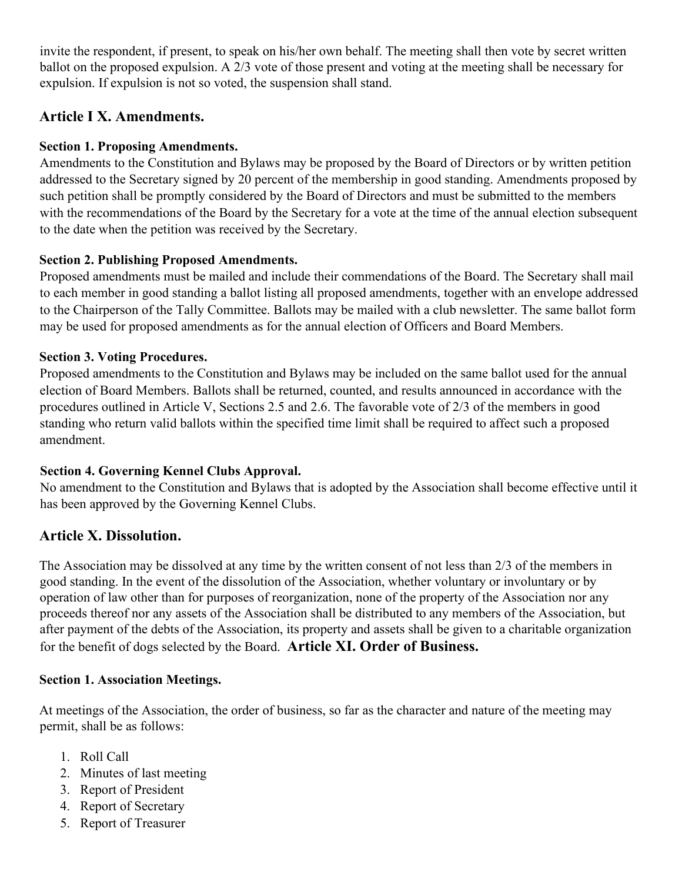invite the respondent, if present, to speak on his/her own behalf. The meeting shall then vote by secret written ballot on the proposed expulsion. A 2/3 vote of those present and voting at the meeting shall be necessary for expulsion. If expulsion is not so voted, the suspension shall stand.

# **Article I X. Amendments.**

## **Section 1. Proposing Amendments.**

Amendments to the Constitution and Bylaws may be proposed by the Board of Directors or by written petition addressed to the Secretary signed by 20 percent of the membership in good standing. Amendments proposed by such petition shall be promptly considered by the Board of Directors and must be submitted to the members with the recommendations of the Board by the Secretary for a vote at the time of the annual election subsequent to the date when the petition was received by the Secretary.

# **Section 2. Publishing Proposed Amendments.**

Proposed amendments must be mailed and include their commendations of the Board. The Secretary shall mail to each member in good standing a ballot listing all proposed amendments, together with an envelope addressed to the Chairperson of the Tally Committee. Ballots may be mailed with a club newsletter. The same ballot form may be used for proposed amendments as for the annual election of Officers and Board Members.

## **Section 3. Voting Procedures.**

Proposed amendments to the Constitution and Bylaws may be included on the same ballot used for the annual election of Board Members. Ballots shall be returned, counted, and results announced in accordance with the procedures outlined in Article V, Sections 2.5 and 2.6. The favorable vote of 2/3 of the members in good standing who return valid ballots within the specified time limit shall be required to affect such a proposed amendment.

#### **Section 4. Governing Kennel Clubs Approval.**

No amendment to the Constitution and Bylaws that is adopted by the Association shall become effective until it has been approved by the Governing Kennel Clubs.

# **Article X. Dissolution.**

The Association may be dissolved at any time by the written consent of not less than 2/3 of the members in good standing. In the event of the dissolution of the Association, whether voluntary or involuntary or by operation of law other than for purposes of reorganization, none of the property of the Association nor any proceeds thereof nor any assets of the Association shall be distributed to any members of the Association, but after payment of the debts of the Association, its property and assets shall be given to a charitable organization for the benefit of dogs selected by the Board. **Article XI. Order of Business.** 

# **Section 1. Association Meetings.**

At meetings of the Association, the order of business, so far as the character and nature of the meeting may permit, shall be as follows:

- 1. Roll Call
- 2. Minutes of last meeting
- 3. Report of President
- 4. Report of Secretary
- 5. Report of Treasurer